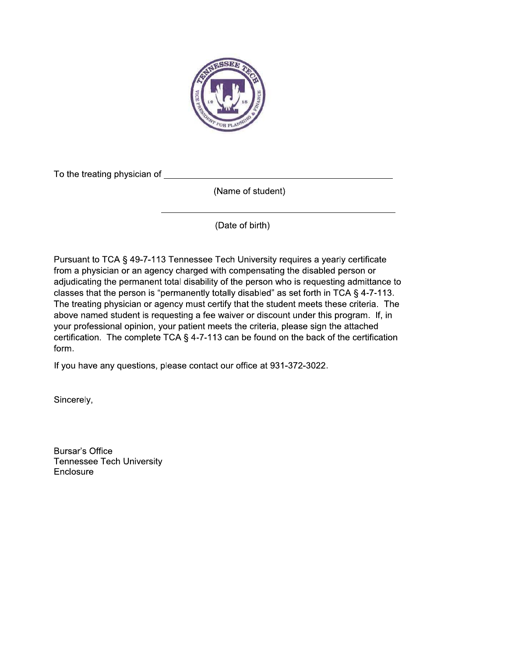

To the treating physician of

(Name of student)

(Date of birth)

Pursuant to TCA § 49-7-113 Tennessee Tech University requires a yearly certificate from a physician or an agency charged with compensating the disabled person or adjudicating the permanent total disability of the person who is requesting admittance to classes that the person is "permanently totally disabled" as set forth in TCA § 4-7-113. The treating physician or agency must certify that the student meets these criteria. The above named student is requesting a fee waiver or discount under this program. If, in your professional opinion, your patient meets the criteria, please sign the attached certification. The complete TCA  $\S$  4-7-113 can be found on the back of the certification form.

If you have any questions, please contact our office at 931-372-3022.

Sincerely,

**Bursar's Office Tennessee Tech University** Enclosure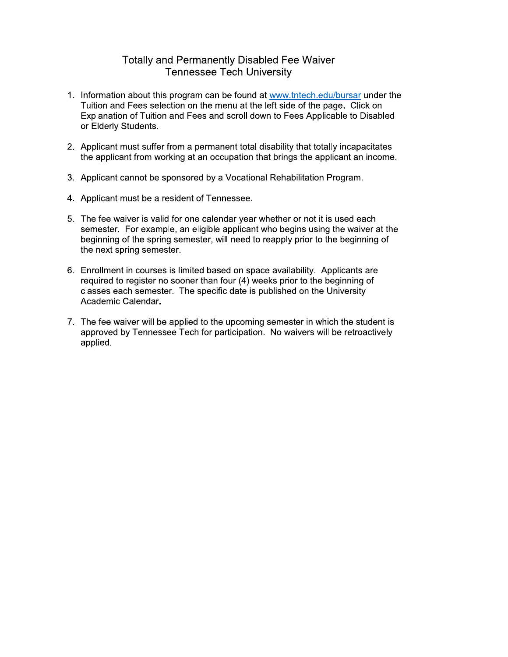### **Totally and Permanently Disabled Fee Waiver Tennessee Tech University**

- 1. Information about this program can be found at www.tntech.edu/bursar under the Tuition and Fees selection on the menu at the left side of the page. Click on Explanation of Tuition and Fees and scroll down to Fees Applicable to Disabled or Elderly Students.
- 2. Applicant must suffer from a permanent total disability that totally incapacitates the applicant from working at an occupation that brings the applicant an income.
- 3. Applicant cannot be sponsored by a Vocational Rehabilitation Program.
- 4. Applicant must be a resident of Tennessee.
- 5. The fee waiver is valid for one calendar year whether or not it is used each semester. For example, an eligible applicant who begins using the waiver at the beginning of the spring semester, will need to reapply prior to the beginning of the next spring semester.
- 6. Enrollment in courses is limited based on space availability. Applicants are required to register no sooner than four (4) weeks prior to the beginning of classes each semester. The specific date is published on the University Academic Calendar.
- 7. The fee waiver will be applied to the upcoming semester in which the student is approved by Tennessee Tech for participation. No waivers will be retroactively applied.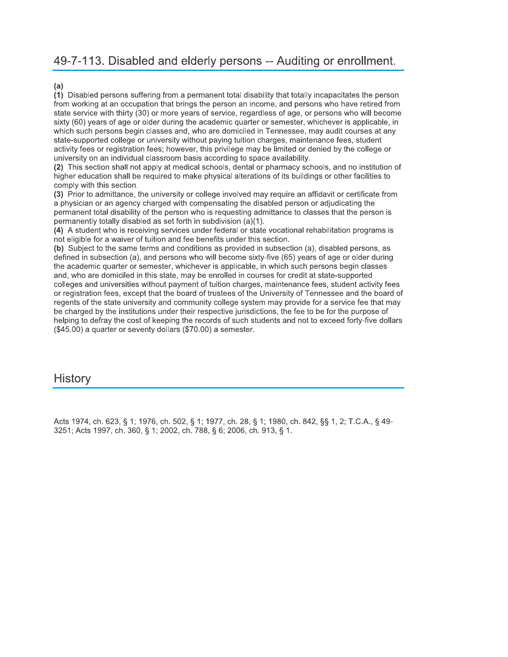# 49-7-113. Disabled and elderly persons -- Auditing or enrollment.

#### $(a)$

(1) Disabled persons suffering from a permanent total disability that totally incapacitates the person from working at an occupation that brings the person an income, and persons who have retired from state service with thirty (30) or more years of service, regardless of age, or persons who will become sixty (60) years of age or older during the academic quarter or semester, whichever is applicable, in which such persons begin classes and, who are domiciled in Tennessee, may audit courses at any state-supported college or university without paying tuition charges, maintenance fees, student activity fees or registration fees; however, this privilege may be limited or denied by the college or university on an individual classroom basis according to space availability.

(2) This section shall not apply at medical schools, dental or pharmacy schools, and no institution of higher education shall be required to make physical alterations of its buildings or other facilities to comply with this section.

(3) Prior to admittance, the university or college involved may require an affidavit or certificate from a physician or an agency charged with compensating the disabled person or adjudicating the permanent total disability of the person who is requesting admittance to classes that the person is permanently totally disabled as set forth in subdivision (a)(1).

(4) A student who is receiving services under federal or state vocational rehabilitation programs is not eligible for a waiver of tuition and fee benefits under this section.

(b) Subject to the same terms and conditions as provided in subsection (a), disabled persons, as defined in subsection (a), and persons who will become sixty-five (65) years of age or older during the academic quarter or semester, whichever is applicable, in which such persons begin classes and, who are domiciled in this state, may be enrolled in courses for credit at state-supported colleges and universities without payment of tuition charges, maintenance fees, student activity fees or registration fees, except that the board of trustees of the University of Tennessee and the board of regents of the state university and community college system may provide for a service fee that may be charged by the institutions under their respective jurisdictions, the fee to be for the purpose of helping to defray the cost of keeping the records of such students and not to exceed forty-five dollars (\$45.00) a quarter or seventy dollars (\$70.00) a semester.

### History

Acts 1974, ch. 623, § 1; 1976, ch. 502, § 1; 1977, ch. 28, § 1; 1980, ch. 842, §§ 1, 2; T.C.A., § 49-3251; Acts 1997, ch. 360, § 1; 2002, ch. 788, § 6; 2006, ch. 913, § 1.